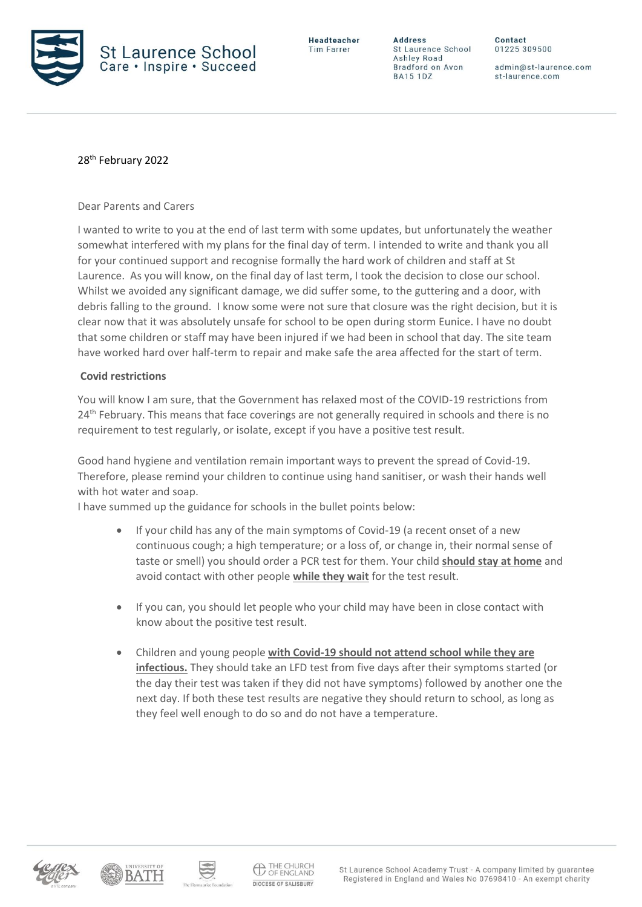

Headteacher **Tim Farrer** 

**Address** St Laurence School Ashley Road Bradford on Avon **BA15 1DZ** 

Contact 01225 309500

admin@st-laurence.com st-laurence.com

## 28th February 2022

Dear Parents and Carers

I wanted to write to you at the end of last term with some updates, but unfortunately the weather somewhat interfered with my plans for the final day of term. I intended to write and thank you all for your continued support and recognise formally the hard work of children and staff at St Laurence. As you will know, on the final day of last term, I took the decision to close our school. Whilst we avoided any significant damage, we did suffer some, to the guttering and a door, with debris falling to the ground. I know some were not sure that closure was the right decision, but it is clear now that it was absolutely unsafe for school to be open during storm Eunice. I have no doubt that some children or staff may have been injured if we had been in school that day. The site team have worked hard over half-term to repair and make safe the area affected for the start of term.

## **Covid restrictions**

You will know I am sure, that the Government has relaxed most of the COVID-19 restrictions from 24<sup>th</sup> February. This means that face coverings are not generally required in schools and there is no requirement to test regularly, or isolate, except if you have a positive test result.

Good hand hygiene and ventilation remain important ways to prevent the spread of Covid-19. Therefore, please remind your children to continue using hand sanitiser, or wash their hands well with hot water and soap.

I have summed up the guidance for schools in the bullet points below:

- If your child has any of the main symptoms of Covid-19 (a recent onset of a new continuous cough; a high temperature; or a loss of, or change in, their normal sense of taste or smell) you should order a PCR test for them. Your child **should stay at home** and avoid contact with other people **while they wait** for the test result.
- If you can, you should let people who your child may have been in close contact with know about the positive test result.
- Children and young people **with Covid-19 should not attend school while they are infectious.** They should take an LFD test from five days after their symptoms started (or the day their test was taken if they did not have symptoms) followed by another one the next day. If both these test results are negative they should return to school, as long as they feel well enough to do so and do not have a temperature.